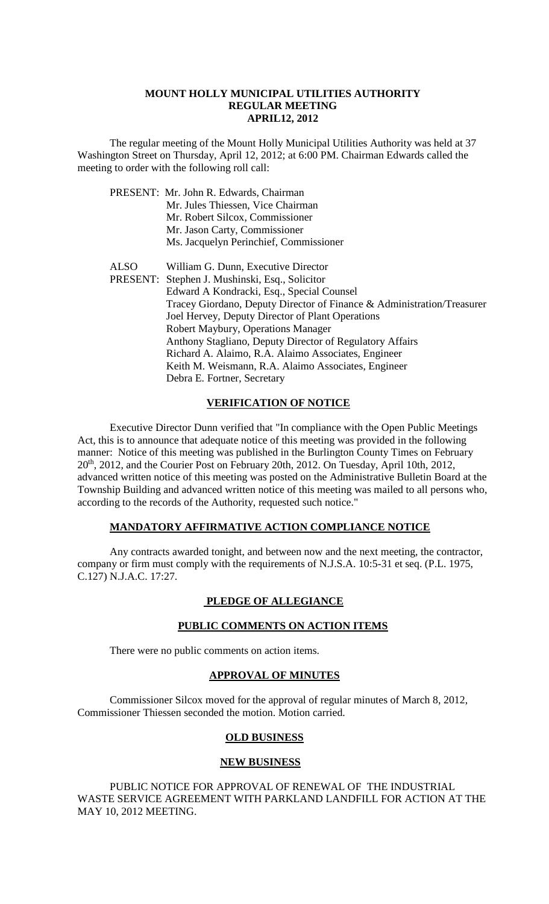#### **MOUNT HOLLY MUNICIPAL UTILITIES AUTHORITY REGULAR MEETING APRIL12, 2012**

The regular meeting of the Mount Holly Municipal Utilities Authority was held at 37 Washington Street on Thursday, April 12, 2012; at 6:00 PM. Chairman Edwards called the meeting to order with the following roll call:

|             | PRESENT: Mr. John R. Edwards, Chairman                                 |
|-------------|------------------------------------------------------------------------|
|             | Mr. Jules Thiessen, Vice Chairman                                      |
|             | Mr. Robert Silcox, Commissioner                                        |
|             | Mr. Jason Carty, Commissioner                                          |
|             | Ms. Jacquelyn Perinchief, Commissioner                                 |
| <b>ALSO</b> | William G. Dunn, Executive Director                                    |
|             | PRESENT: Stephen J. Mushinski, Esq., Solicitor                         |
|             | Edward A Kondracki, Esq., Special Counsel                              |
|             | Tracey Giordano, Deputy Director of Finance & Administration/Treasurer |
|             | Joel Hervey, Deputy Director of Plant Operations                       |
|             | Robert Maybury, Operations Manager                                     |
|             | Anthony Stagliano, Deputy Director of Regulatory Affairs               |
|             | Richard A. Alaimo, R.A. Alaimo Associates, Engineer                    |
|             | Keith M. Weismann, R.A. Alaimo Associates, Engineer                    |
|             | Debra E. Fortner, Secretary                                            |

## **VERIFICATION OF NOTICE**

Executive Director Dunn verified that "In compliance with the Open Public Meetings Act, this is to announce that adequate notice of this meeting was provided in the following manner: Notice of this meeting was published in the Burlington County Times on February 20th, 2012, and the Courier Post on February 20th, 2012. On Tuesday, April 10th, 2012, advanced written notice of this meeting was posted on the Administrative Bulletin Board at the Township Building and advanced written notice of this meeting was mailed to all persons who, according to the records of the Authority, requested such notice."

#### **MANDATORY AFFIRMATIVE ACTION COMPLIANCE NOTICE**

Any contracts awarded tonight, and between now and the next meeting, the contractor, company or firm must comply with the requirements of N.J.S.A. 10:5-31 et seq. (P.L. 1975, C.127) N.J.A.C. 17:27.

## **PLEDGE OF ALLEGIANCE**

## **PUBLIC COMMENTS ON ACTION ITEMS**

There were no public comments on action items.

## **APPROVAL OF MINUTES**

Commissioner Silcox moved for the approval of regular minutes of March 8, 2012, Commissioner Thiessen seconded the motion. Motion carried.

#### **OLD BUSINESS**

#### **NEW BUSINESS**

PUBLIC NOTICE FOR APPROVAL OF RENEWAL OF THE INDUSTRIAL WASTE SERVICE AGREEMENT WITH PARKLAND LANDFILL FOR ACTION AT THE MAY 10, 2012 MEETING.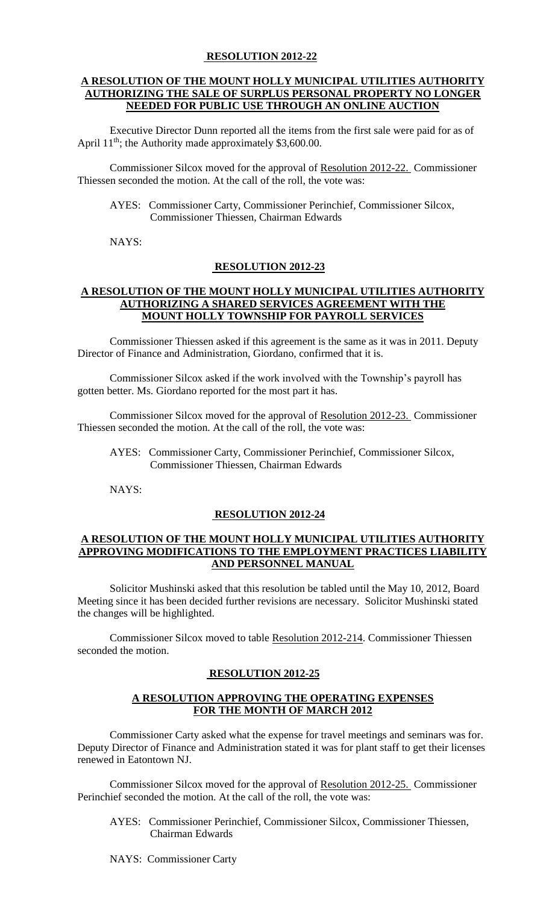#### **RESOLUTION 2012-22**

#### **A RESOLUTION OF THE MOUNT HOLLY MUNICIPAL UTILITIES AUTHORITY AUTHORIZING THE SALE OF SURPLUS PERSONAL PROPERTY NO LONGER NEEDED FOR PUBLIC USE THROUGH AN ONLINE AUCTION**

Executive Director Dunn reported all the items from the first sale were paid for as of April  $11<sup>th</sup>$ ; the Authority made approximately \$3,600.00.

Commissioner Silcox moved for the approval of Resolution 2012-22. Commissioner Thiessen seconded the motion. At the call of the roll, the vote was:

AYES: Commissioner Carty, Commissioner Perinchief, Commissioner Silcox, Commissioner Thiessen, Chairman Edwards

NAYS:

#### **RESOLUTION 2012-23**

#### **A RESOLUTION OF THE MOUNT HOLLY MUNICIPAL UTILITIES AUTHORITY AUTHORIZING A SHARED SERVICES AGREEMENT WITH THE MOUNT HOLLY TOWNSHIP FOR PAYROLL SERVICES**

Commissioner Thiessen asked if this agreement is the same as it was in 2011. Deputy Director of Finance and Administration, Giordano, confirmed that it is.

Commissioner Silcox asked if the work involved with the Township's payroll has gotten better. Ms. Giordano reported for the most part it has.

Commissioner Silcox moved for the approval of Resolution 2012-23. Commissioner Thiessen seconded the motion. At the call of the roll, the vote was:

AYES: Commissioner Carty, Commissioner Perinchief, Commissioner Silcox, Commissioner Thiessen, Chairman Edwards

NAYS:

#### **RESOLUTION 2012-24**

#### **A RESOLUTION OF THE MOUNT HOLLY MUNICIPAL UTILITIES AUTHORITY APPROVING MODIFICATIONS TO THE EMPLOYMENT PRACTICES LIABILITY AND PERSONNEL MANUAL**

Solicitor Mushinski asked that this resolution be tabled until the May 10, 2012, Board Meeting since it has been decided further revisions are necessary. Solicitor Mushinski stated the changes will be highlighted.

Commissioner Silcox moved to table Resolution 2012-214. Commissioner Thiessen seconded the motion.

#### **RESOLUTION 2012-25**

## **A RESOLUTION APPROVING THE OPERATING EXPENSES FOR THE MONTH OF MARCH 2012**

Commissioner Carty asked what the expense for travel meetings and seminars was for. Deputy Director of Finance and Administration stated it was for plant staff to get their licenses renewed in Eatontown NJ.

Commissioner Silcox moved for the approval of Resolution 2012-25. Commissioner Perinchief seconded the motion. At the call of the roll, the vote was:

 AYES: Commissioner Perinchief, Commissioner Silcox, Commissioner Thiessen, Chairman Edwards

NAYS: Commissioner Carty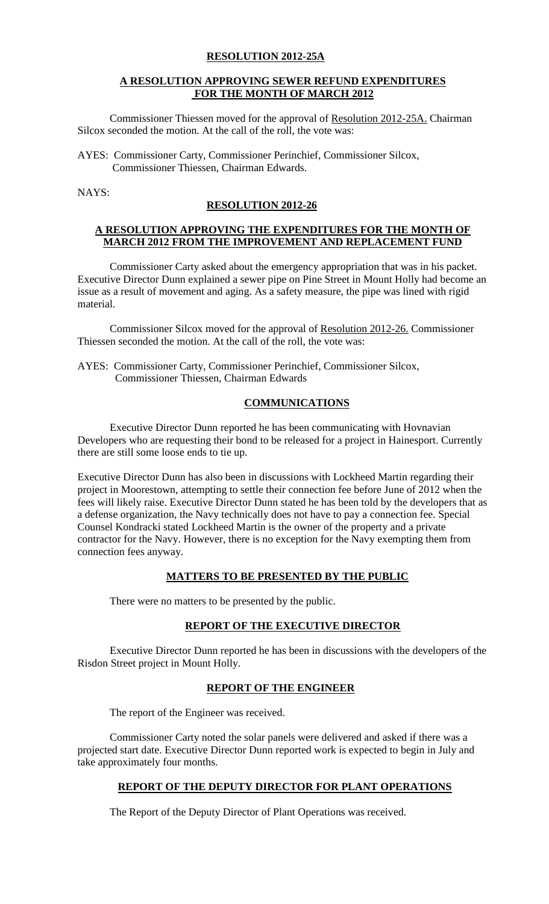#### **RESOLUTION 2012-25A**

#### **A RESOLUTION APPROVING SEWER REFUND EXPENDITURES FOR THE MONTH OF MARCH 2012**

Commissioner Thiessen moved for the approval of Resolution 2012-25A. Chairman Silcox seconded the motion. At the call of the roll, the vote was:

AYES: Commissioner Carty, Commissioner Perinchief, Commissioner Silcox, Commissioner Thiessen, Chairman Edwards.

NAYS:

## **RESOLUTION 2012-26**

## **A RESOLUTION APPROVING THE EXPENDITURES FOR THE MONTH OF MARCH 2012 FROM THE IMPROVEMENT AND REPLACEMENT FUND**

Commissioner Carty asked about the emergency appropriation that was in his packet. Executive Director Dunn explained a sewer pipe on Pine Street in Mount Holly had become an issue as a result of movement and aging. As a safety measure, the pipe was lined with rigid material.

Commissioner Silcox moved for the approval of Resolution 2012-26. Commissioner Thiessen seconded the motion. At the call of the roll, the vote was:

AYES: Commissioner Carty, Commissioner Perinchief, Commissioner Silcox, Commissioner Thiessen, Chairman Edwards

## **COMMUNICATIONS**

Executive Director Dunn reported he has been communicating with Hovnavian Developers who are requesting their bond to be released for a project in Hainesport. Currently there are still some loose ends to tie up.

Executive Director Dunn has also been in discussions with Lockheed Martin regarding their project in Moorestown, attempting to settle their connection fee before June of 2012 when the fees will likely raise. Executive Director Dunn stated he has been told by the developers that as a defense organization, the Navy technically does not have to pay a connection fee. Special Counsel Kondracki stated Lockheed Martin is the owner of the property and a private contractor for the Navy. However, there is no exception for the Navy exempting them from connection fees anyway.

## **MATTERS TO BE PRESENTED BY THE PUBLIC**

There were no matters to be presented by the public.

## **REPORT OF THE EXECUTIVE DIRECTOR**

Executive Director Dunn reported he has been in discussions with the developers of the Risdon Street project in Mount Holly.

# **REPORT OF THE ENGINEER**

The report of the Engineer was received.

Commissioner Carty noted the solar panels were delivered and asked if there was a projected start date. Executive Director Dunn reported work is expected to begin in July and take approximately four months.

# **REPORT OF THE DEPUTY DIRECTOR FOR PLANT OPERATIONS**

The Report of the Deputy Director of Plant Operations was received.